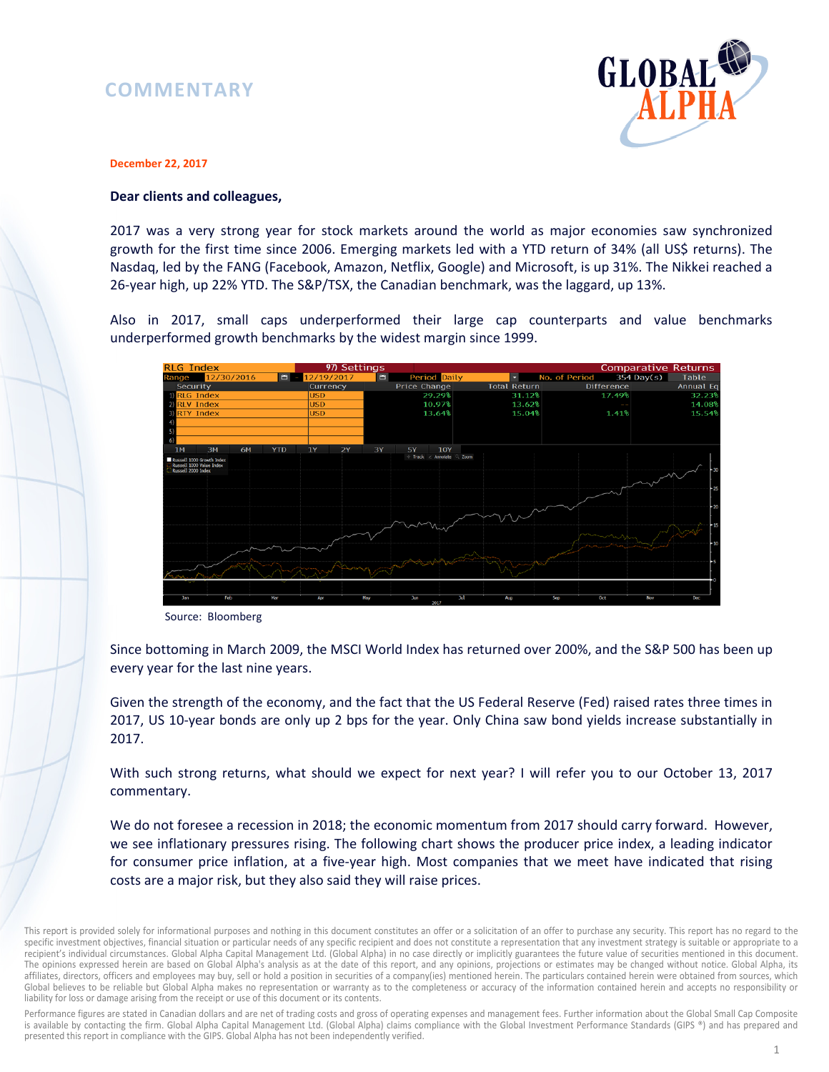## **COMMENTARY**



#### **December 22, 2017**

### **Dear clients and colleagues,**

2017 was a very strong year for stock markets around the world as major economies saw synchronized growth for the first time since 2006. Emerging markets led with a YTD return of 34% (all US\$ returns). The Nasdaq, led by the FANG (Facebook, Amazon, Netflix, Google) and Microsoft, is up 31%. The Nikkei reached a 26-year high, up 22% YTD. The S&P/TSX, the Canadian benchmark, was the laggard, up 13%.

Also in 2017, small caps underperformed their large cap counterparts and value benchmarks underperformed growth benchmarks by the widest margin since 1999.



Source: Bloomberg

Since bottoming in March 2009, the MSCI World Index has returned over 200%, and the S&P 500 has been up every year for the last nine years.

Given the strength of the economy, and the fact that the US Federal Reserve (Fed) raised rates three times in 2017, US 10-year bonds are only up 2 bps for the year. Only China saw bond yields increase substantially in 2017.

With such strong returns, what should we expect for next year? I will refer you to our October 13, 2017 commentary.

We do not foresee a recession in 2018; the economic momentum from 2017 should carry forward. However, we see inflationary pressures rising. The following chart shows the producer price index, a leading indicator for consumer price inflation, at a five-year high. Most companies that we meet have indicated that rising costs are a major risk, but they also said they will raise prices.

Performance figures are stated in Canadian dollars and are net of trading costs and gross of operating expenses and management fees. Further information about the Global Small Cap Composite is available by contacting the firm. Global Alpha Capital Management Ltd. (Global Alpha) claims compliance with the Global Investment Performance Standards (GIPS ®) and has prepared and presented this report in compliance with the GIPS. Global Alpha has not been independently verified.

This report is provided solely for informational purposes and nothing in this document constitutes an offer or a solicitation of an offer to purchase any security. This report has no regard to the specific investment objectives, financial situation or particular needs of any specific recipient and does not constitute a representation that any investment strategy is suitable or appropriate to a recipient's individual circumstances. Global Alpha Capital Management Ltd. (Global Alpha) in no case directly or implicitly guarantees the future value of securities mentioned in this document. The opinions expressed herein are based on Global Alpha's analysis as at the date of this report, and any opinions, projections or estimates may be changed without notice. Global Alpha, its affiliates, directors, officers and employees may buy, sell or hold a position in securities of a company(ies) mentioned herein. The particulars contained herein were obtained from sources, which Global believes to be reliable but Global Alpha makes no representation or warranty as to the completeness or accuracy of the information contained herein and accepts no responsibility or liability for loss or damage arising from the receipt or use of this document or its contents.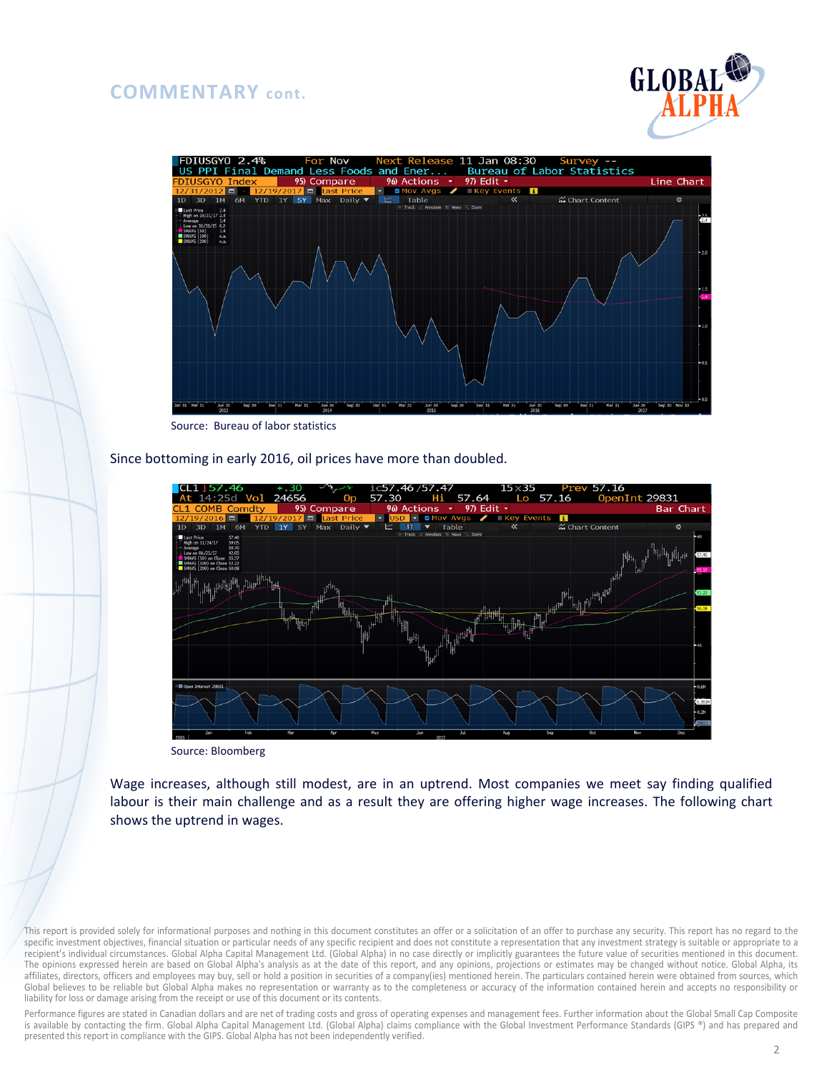# **COMMENTARY cont.**





Source: Bureau of labor statistics

Since bottoming in early 2016, oil prices have more than doubled.



Source: Bloomberg

Wage increases, although still modest, are in an uptrend. Most companies we meet say finding qualified labour is their main challenge and as a result they are offering higher wage increases. The following chart shows the uptrend in wages.

This report is provided solely for informational purposes and nothing in this document constitutes an offer or a solicitation of an offer to purchase any security. This report has no regard to the specific investment objectives, financial situation or particular needs of any specific recipient and does not constitute a representation that any investment strategy is suitable or appropriate to a recipient's individual circumstances. Global Alpha Capital Management Ltd. (Global Alpha) in no case directly or implicitly guarantees the future value of securities mentioned in this document. The opinions expressed herein are based on Global Alpha's analysis as at the date of this report, and any opinions, projections or estimates may be changed without notice. Global Alpha, its affiliates, directors, officers and employees may buy, sell or hold a position in securities of a company(ies) mentioned herein. The particulars contained herein were obtained from sources, which Global believes to be reliable but Global Alpha makes no representation or warranty as to the completeness or accuracy of the information contained herein and accepts no responsibility or liability for loss or damage arising from the receipt or use of this document or its contents.

Performance figures are stated in Canadian dollars and are net of trading costs and gross of operating expenses and management fees. Further information about the Global Small Cap Composite is available by contacting the firm. Global Alpha Capital Management Ltd. (Global Alpha) claims compliance with the Global Investment Performance Standards (GIPS ®) and has prepared and presented this report in compliance with the GIPS. Global Alpha has not been independently verified.